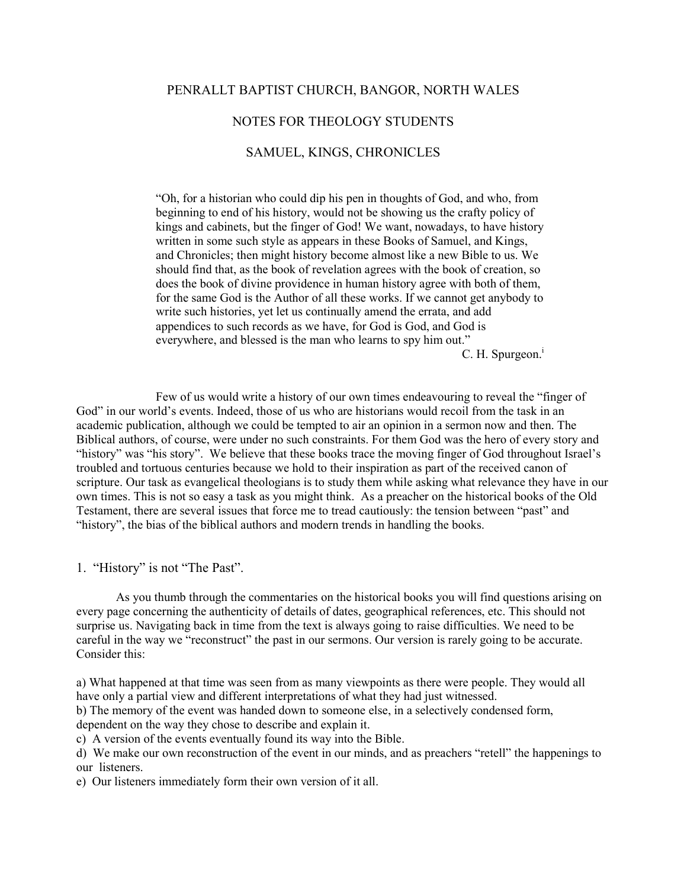# PENRALLT BAPTIST CHURCH, BANGOR, NORTH WALES

### NOTES FOR THEOLOGY STUDENTS

# SAMUEL, KINGS, CHRONICLES

"Oh, for a historian who could dip his pen in thoughts of God, and who, from beginning to end of his history, would not be showing us the crafty policy of kings and cabinets, but the finger of God! We want, nowadays, to have history written in some such style as appears in these Books of Samuel, and Kings, and Chronicles; then might history become almost like a new Bible to us. We should find that, as the book of revelation agrees with the book of creation, so does the book of divine providence in human history agree with both of them, for the same God is the Author of all these works. If we cannot get anybody to write such histories, yet let us continually amend the errata, and add appendices to such records as we have, for God is God, and God is everywhere, and blessed is the man who learns to spy him out."

C. H. Spurgeon.<sup>i</sup>

 Few of us would write a history of our own times endeavouring to reveal the "finger of God" in our world's events. Indeed, those of us who are historians would recoil from the task in an academic publication, although we could be tempted to air an opinion in a sermon now and then. The Biblical authors, of course, were under no such constraints. For them God was the hero of every story and "history" was "his story". We believe that these books trace the moving finger of God throughout Israel's troubled and tortuous centuries because we hold to their inspiration as part of the received canon of scripture. Our task as evangelical theologians is to study them while asking what relevance they have in our own times. This is not so easy a task as you might think. As a preacher on the historical books of the Old Testament, there are several issues that force me to tread cautiously: the tension between "past" and "history", the bias of the biblical authors and modern trends in handling the books.

1. "History" is not "The Past".

 As you thumb through the commentaries on the historical books you will find questions arising on every page concerning the authenticity of details of dates, geographical references, etc. This should not surprise us. Navigating back in time from the text is always going to raise difficulties. We need to be careful in the way we "reconstruct" the past in our sermons. Our version is rarely going to be accurate. Consider this:

a) What happened at that time was seen from as many viewpoints as there were people. They would all have only a partial view and different interpretations of what they had just witnessed.

b) The memory of the event was handed down to someone else, in a selectively condensed form, dependent on the way they chose to describe and explain it.

c) A version of the events eventually found its way into the Bible.

d) We make our own reconstruction of the event in our minds, and as preachers "retell" the happenings to our listeners.

e) Our listeners immediately form their own version of it all.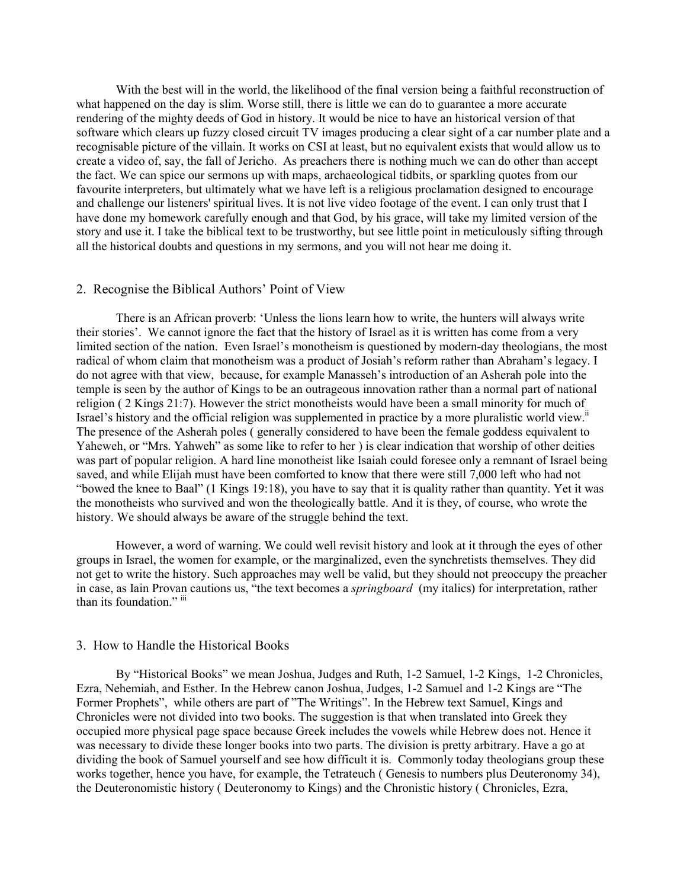With the best will in the world, the likelihood of the final version being a faithful reconstruction of what happened on the day is slim. Worse still, there is little we can do to guarantee a more accurate rendering of the mighty deeds of God in history. It would be nice to have an historical version of that software which clears up fuzzy closed circuit TV images producing a clear sight of a car number plate and a recognisable picture of the villain. It works on CSI at least, but no equivalent exists that would allow us to create a video of, say, the fall of Jericho. As preachers there is nothing much we can do other than accept the fact. We can spice our sermons up with maps, archaeological tidbits, or sparkling quotes from our favourite interpreters, but ultimately what we have left is a religious proclamation designed to encourage and challenge our listeners' spiritual lives. It is not live video footage of the event. I can only trust that I have done my homework carefully enough and that God, by his grace, will take my limited version of the story and use it. I take the biblical text to be trustworthy, but see little point in meticulously sifting through all the historical doubts and questions in my sermons, and you will not hear me doing it.

### 2. Recognise the Biblical Authors' Point of View

 There is an African proverb: 'Unless the lions learn how to write, the hunters will always write their stories'. We cannot ignore the fact that the history of Israel as it is written has come from a very limited section of the nation. Even Israel's monotheism is questioned by modern-day theologians, the most radical of whom claim that monotheism was a product of Josiah's reform rather than Abraham's legacy. I do not agree with that view, because, for example Manasseh's introduction of an Asherah pole into the temple is seen by the author of Kings to be an outrageous innovation rather than a normal part of national religion ( 2 Kings 21:7). However the strict monotheists would have been a small minority for much of Israel's history and the official religion was supplemented in practice by a more pluralistic world view. $\mathbf{u}$ The presence of the Asherah poles ( generally considered to have been the female goddess equivalent to Yaheweh, or "Mrs. Yahweh" as some like to refer to her ) is clear indication that worship of other deities was part of popular religion. A hard line monotheist like Isaiah could foresee only a remnant of Israel being saved, and while Elijah must have been comforted to know that there were still 7,000 left who had not "bowed the knee to Baal" (1 Kings 19:18), you have to say that it is quality rather than quantity. Yet it was the monotheists who survived and won the theologically battle. And it is they, of course, who wrote the history. We should always be aware of the struggle behind the text.

 However, a word of warning. We could well revisit history and look at it through the eyes of other groups in Israel, the women for example, or the marginalized, even the synchretists themselves. They did not get to write the history. Such approaches may well be valid, but they should not preoccupy the preacher in case, as Iain Provan cautions us, "the text becomes a *springboard* (my italics) for interpretation, rather than its foundation." iii

#### 3. How to Handle the Historical Books

 By "Historical Books" we mean Joshua, Judges and Ruth, 1-2 Samuel, 1-2 Kings, 1-2 Chronicles, Ezra, Nehemiah, and Esther. In the Hebrew canon Joshua, Judges, 1-2 Samuel and 1-2 Kings are "The Former Prophets", while others are part of "The Writings". In the Hebrew text Samuel, Kings and Chronicles were not divided into two books. The suggestion is that when translated into Greek they occupied more physical page space because Greek includes the vowels while Hebrew does not. Hence it was necessary to divide these longer books into two parts. The division is pretty arbitrary. Have a go at dividing the book of Samuel yourself and see how difficult it is. Commonly today theologians group these works together, hence you have, for example, the Tetrateuch ( Genesis to numbers plus Deuteronomy 34), the Deuteronomistic history ( Deuteronomy to Kings) and the Chronistic history ( Chronicles, Ezra,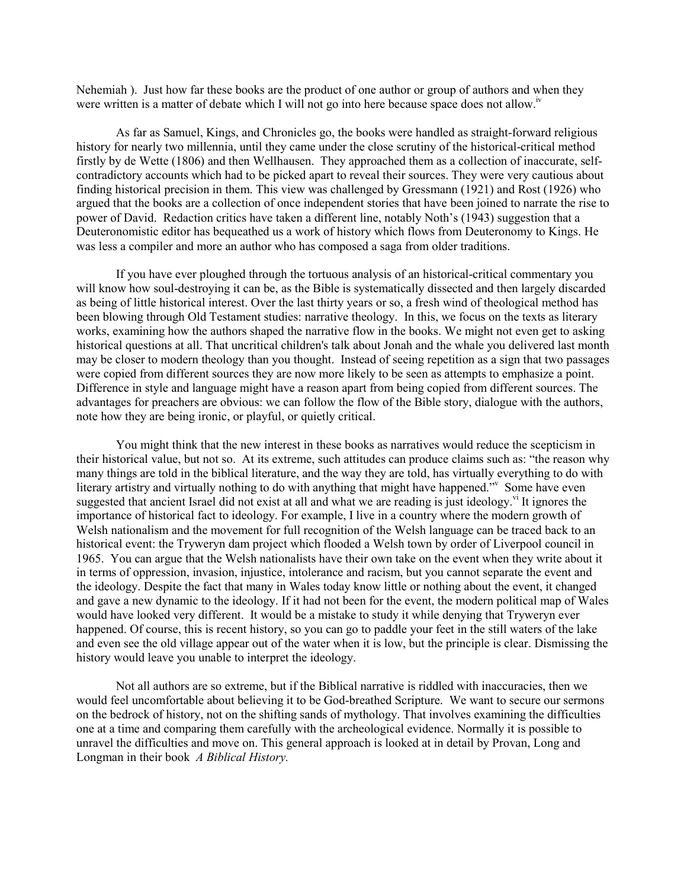Nehemiah ). Just how far these books are the product of one author or group of authors and when they were written is a matter of debate which I will not go into here because space does not allow.<sup>17</sup>

 As far as Samuel, Kings, and Chronicles go, the books were handled as straight-forward religious history for nearly two millennia, until they came under the close scrutiny of the historical-critical method firstly by de Wette (1806) and then Wellhausen. They approached them as a collection of inaccurate, selfcontradictory accounts which had to be picked apart to reveal their sources. They were very cautious about finding historical precision in them. This view was challenged by Gressmann (1921) and Rost (1926) who argued that the books are a collection of once independent stories that have been joined to narrate the rise to power of David. Redaction critics have taken a different line, notably Noth's (1943) suggestion that a Deuteronomistic editor has bequeathed us a work of history which flows from Deuteronomy to Kings. He was less a compiler and more an author who has composed a saga from older traditions.

 If you have ever ploughed through the tortuous analysis of an historical-critical commentary you will know how soul-destroying it can be, as the Bible is systematically dissected and then largely discarded as being of little historical interest. Over the last thirty years or so, a fresh wind of theological method has been blowing through Old Testament studies: narrative theology. In this, we focus on the texts as literary works, examining how the authors shaped the narrative flow in the books. We might not even get to asking historical questions at all. That uncritical children's talk about Jonah and the whale you delivered last month may be closer to modern theology than you thought. Instead of seeing repetition as a sign that two passages were copied from different sources they are now more likely to be seen as attempts to emphasize a point. Difference in style and language might have a reason apart from being copied from different sources. The advantages for preachers are obvious: we can follow the flow of the Bible story, dialogue with the authors, note how they are being ironic, or playful, or quietly critical.

 You might think that the new interest in these books as narratives would reduce the scepticism in their historical value, but not so. At its extreme, such attitudes can produce claims such as: "the reason why many things are told in the biblical literature, and the way they are told, has virtually everything to do with literary artistry and virtually nothing to do with anything that might have happened." Some have even suggested that ancient Israel did not exist at all and what we are reading is just ideology.<sup>vi</sup> It ignores the importance of historical fact to ideology. For example, I live in a country where the modern growth of Welsh nationalism and the movement for full recognition of the Welsh language can be traced back to an historical event: the Tryweryn dam project which flooded a Welsh town by order of Liverpool council in 1965. You can argue that the Welsh nationalists have their own take on the event when they write about it in terms of oppression, invasion, injustice, intolerance and racism, but you cannot separate the event and the ideology. Despite the fact that many in Wales today know little or nothing about the event, it changed and gave a new dynamic to the ideology. If it had not been for the event, the modern political map of Wales would have looked very different. It would be a mistake to study it while denying that Tryweryn ever happened. Of course, this is recent history, so you can go to paddle your feet in the still waters of the lake and even see the old village appear out of the water when it is low, but the principle is clear. Dismissing the history would leave you unable to interpret the ideology.

 Not all authors are so extreme, but if the Biblical narrative is riddled with inaccuracies, then we would feel uncomfortable about believing it to be God-breathed Scripture. We want to secure our sermons on the bedrock of history, not on the shifting sands of mythology. That involves examining the difficulties one at a time and comparing them carefully with the archeological evidence. Normally it is possible to unravel the difficulties and move on. This general approach is looked at in detail by Provan, Long and Longman in their book *A Biblical History.*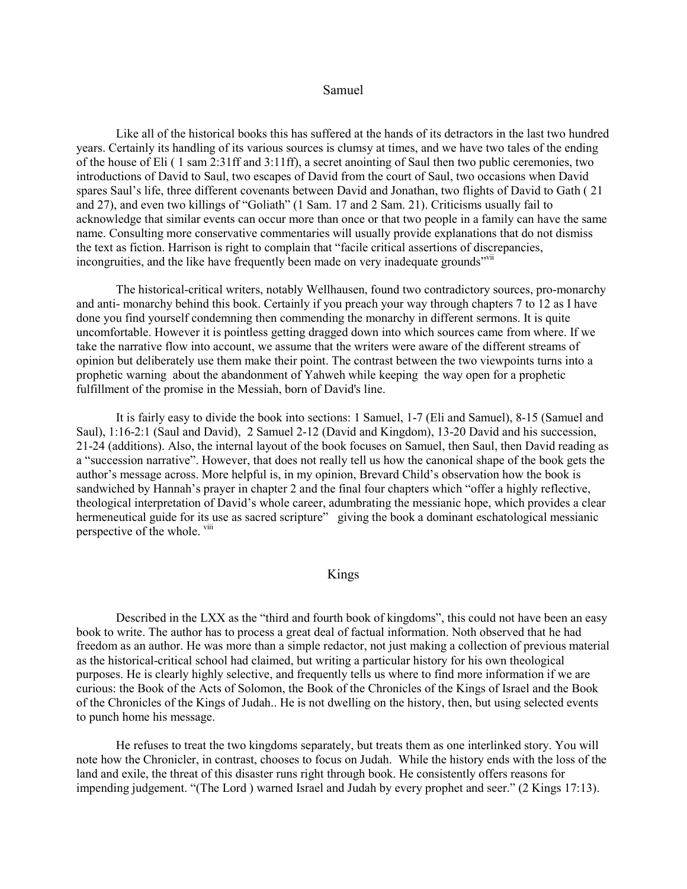#### Samuel

 Like all of the historical books this has suffered at the hands of its detractors in the last two hundred years. Certainly its handling of its various sources is clumsy at times, and we have two tales of the ending of the house of Eli ( 1 sam 2:31ff and 3:11ff), a secret anointing of Saul then two public ceremonies, two introductions of David to Saul, two escapes of David from the court of Saul, two occasions when David spares Saul's life, three different covenants between David and Jonathan, two flights of David to Gath ( 21 and 27), and even two killings of "Goliath" (1 Sam. 17 and 2 Sam. 21). Criticisms usually fail to acknowledge that similar events can occur more than once or that two people in a family can have the same name. Consulting more conservative commentaries will usually provide explanations that do not dismiss the text as fiction. Harrison is right to complain that "facile critical assertions of discrepancies, incongruities, and the like have frequently been made on very inadequate grounds<sup>"vii</sup>

 The historical-critical writers, notably Wellhausen, found two contradictory sources, pro-monarchy and anti- monarchy behind this book. Certainly if you preach your way through chapters 7 to 12 as I have done you find yourself condemning then commending the monarchy in different sermons. It is quite uncomfortable. However it is pointless getting dragged down into which sources came from where. If we take the narrative flow into account, we assume that the writers were aware of the different streams of opinion but deliberately use them make their point. The contrast between the two viewpoints turns into a prophetic warning about the abandonment of Yahweh while keeping the way open for a prophetic fulfillment of the promise in the Messiah, born of David's line.

 It is fairly easy to divide the book into sections: 1 Samuel, 1-7 (Eli and Samuel), 8-15 (Samuel and Saul), 1:16-2:1 (Saul and David), 2 Samuel 2-12 (David and Kingdom), 13-20 David and his succession, 21-24 (additions). Also, the internal layout of the book focuses on Samuel, then Saul, then David reading as a "succession narrative". However, that does not really tell us how the canonical shape of the book gets the author's message across. More helpful is, in my opinion, Brevard Child's observation how the book is sandwiched by Hannah's prayer in chapter 2 and the final four chapters which "offer a highly reflective, theological interpretation of David's whole career, adumbrating the messianic hope, which provides a clear hermeneutical guide for its use as sacred scripture" giving the book a dominant eschatological messianic perspective of the whole. <sup>viii</sup>

# Kings

 Described in the LXX as the "third and fourth book of kingdoms", this could not have been an easy book to write. The author has to process a great deal of factual information. Noth observed that he had freedom as an author. He was more than a simple redactor, not just making a collection of previous material as the historical-critical school had claimed, but writing a particular history for his own theological purposes. He is clearly highly selective, and frequently tells us where to find more information if we are curious: the Book of the Acts of Solomon, the Book of the Chronicles of the Kings of Israel and the Book of the Chronicles of the Kings of Judah.. He is not dwelling on the history, then, but using selected events to punch home his message.

 He refuses to treat the two kingdoms separately, but treats them as one interlinked story. You will note how the Chronicler, in contrast, chooses to focus on Judah. While the history ends with the loss of the land and exile, the threat of this disaster runs right through book. He consistently offers reasons for impending judgement. "(The Lord ) warned Israel and Judah by every prophet and seer." (2 Kings 17:13).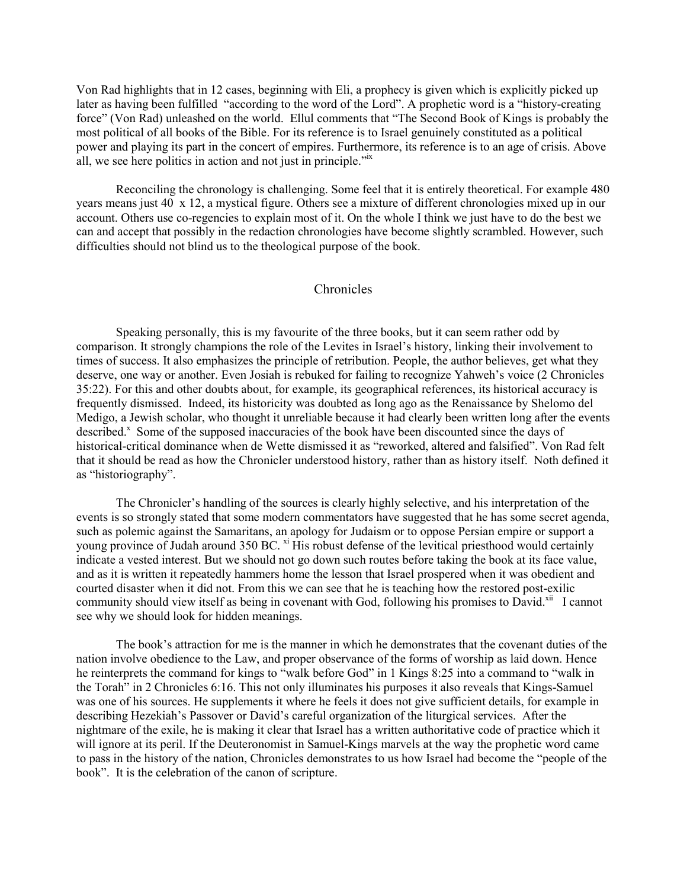Von Rad highlights that in 12 cases, beginning with Eli, a prophecy is given which is explicitly picked up later as having been fulfilled "according to the word of the Lord". A prophetic word is a "history-creating force" (Von Rad) unleashed on the world. Ellul comments that "The Second Book of Kings is probably the most political of all books of the Bible. For its reference is to Israel genuinely constituted as a political power and playing its part in the concert of empires. Furthermore, its reference is to an age of crisis. Above all, we see here politics in action and not just in principle."ix

 Reconciling the chronology is challenging. Some feel that it is entirely theoretical. For example 480 years means just 40 x 12, a mystical figure. Others see a mixture of different chronologies mixed up in our account. Others use co-regencies to explain most of it. On the whole I think we just have to do the best we can and accept that possibly in the redaction chronologies have become slightly scrambled. However, such difficulties should not blind us to the theological purpose of the book.

## **Chronicles**

 Speaking personally, this is my favourite of the three books, but it can seem rather odd by comparison. It strongly champions the role of the Levites in Israel's history, linking their involvement to times of success. It also emphasizes the principle of retribution. People, the author believes, get what they deserve, one way or another. Even Josiah is rebuked for failing to recognize Yahweh's voice (2 Chronicles 35:22). For this and other doubts about, for example, its geographical references, its historical accuracy is frequently dismissed. Indeed, its historicity was doubted as long ago as the Renaissance by Shelomo del Medigo, a Jewish scholar, who thought it unreliable because it had clearly been written long after the events described.<sup>x</sup> Some of the supposed inaccuracies of the book have been discounted since the days of historical-critical dominance when de Wette dismissed it as "reworked, altered and falsified". Von Rad felt that it should be read as how the Chronicler understood history, rather than as history itself. Noth defined it as "historiography".

 The Chronicler's handling of the sources is clearly highly selective, and his interpretation of the events is so strongly stated that some modern commentators have suggested that he has some secret agenda, such as polemic against the Samaritans, an apology for Judaism or to oppose Persian empire or support a young province of Judah around 350 BC. <sup>xi</sup> His robust defense of the levitical priesthood would certainly indicate a vested interest. But we should not go down such routes before taking the book at its face value, and as it is written it repeatedly hammers home the lesson that Israel prospered when it was obedient and courted disaster when it did not. From this we can see that he is teaching how the restored post-exilic community should view itself as being in covenant with God, following his promises to David.<sup>xii</sup> I cannot see why we should look for hidden meanings.

 The book's attraction for me is the manner in which he demonstrates that the covenant duties of the nation involve obedience to the Law, and proper observance of the forms of worship as laid down. Hence he reinterprets the command for kings to "walk before God" in 1 Kings 8:25 into a command to "walk in the Torah" in 2 Chronicles 6:16. This not only illuminates his purposes it also reveals that Kings-Samuel was one of his sources. He supplements it where he feels it does not give sufficient details, for example in describing Hezekiah's Passover or David's careful organization of the liturgical services. After the nightmare of the exile, he is making it clear that Israel has a written authoritative code of practice which it will ignore at its peril. If the Deuteronomist in Samuel-Kings marvels at the way the prophetic word came to pass in the history of the nation, Chronicles demonstrates to us how Israel had become the "people of the book". It is the celebration of the canon of scripture.